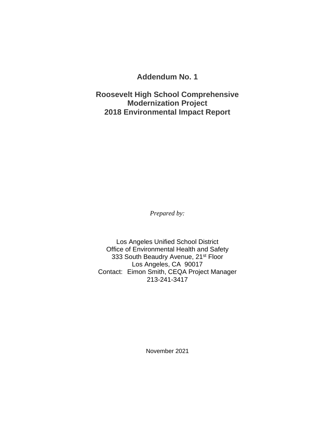**Addendum No. 1**

**Roosevelt High School Comprehensive Modernization Project 2018 Environmental Impact Report**

*Prepared by:*

Los Angeles Unified School District Office of Environmental Health and Safety 333 South Beaudry Avenue, 21<sup>st</sup> Floor Los Angeles, CA 90017 Contact: Eimon Smith, CEQA Project Manager 213-241-3417

November 2021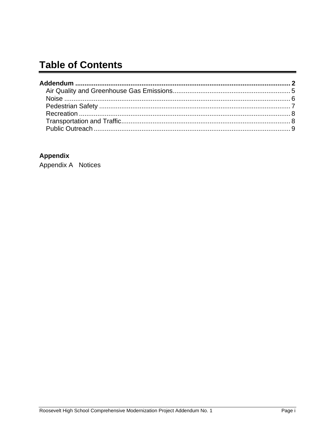# **Table of Contents**

# **Appendix**

Appendix A Notices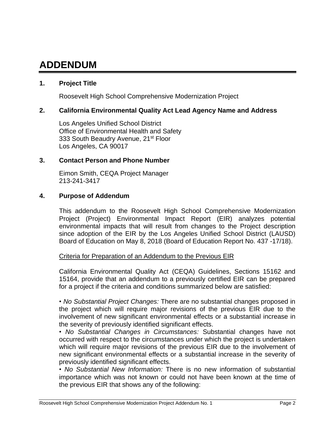# **ADDENDUM**

## **1. Project Title**

Roosevelt High School Comprehensive Modernization Project

#### **2. California Environmental Quality Act Lead Agency Name and Address**

Los Angeles Unified School District Office of Environmental Health and Safety 333 South Beaudry Avenue, 21<sup>st</sup> Floor Los Angeles, CA 90017

#### **3. Contact Person and Phone Number**

Eimon Smith, CEQA Project Manager 213-241-3417

#### **4. Purpose of Addendum**

This addendum to the Roosevelt High School Comprehensive Modernization Project (Project) Environmental Impact Report (EIR) analyzes potential environmental impacts that will result from changes to the Project description since adoption of the EIR by the Los Angeles Unified School District (LAUSD) Board of Education on May 8, 2018 (Board of Education Report No. 437 -17/18).

#### Criteria for Preparation of an Addendum to the Previous EIR

California Environmental Quality Act (CEQA) Guidelines, Sections 15162 and 15164, provide that an addendum to a previously certified EIR can be prepared for a project if the criteria and conditions summarized below are satisfied:

• *No Substantial Project Changes:* There are no substantial changes proposed in the project which will require major revisions of the previous EIR due to the involvement of new significant environmental effects or a substantial increase in the severity of previously identified significant effects.

• *No Substantial Changes in Circumstances:* Substantial changes have not occurred with respect to the circumstances under which the project is undertaken which will require major revisions of the previous EIR due to the involvement of new significant environmental effects or a substantial increase in the severity of previously identified significant effects.

• *No Substantial New Information:* There is no new information of substantial importance which was not known or could not have been known at the time of the previous EIR that shows any of the following: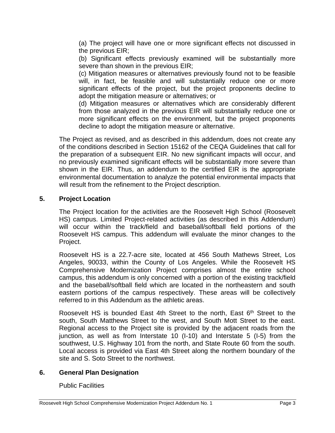(a) The project will have one or more significant effects not discussed in the previous EIR;

(b) Significant effects previously examined will be substantially more severe than shown in the previous EIR;

(c) Mitigation measures or alternatives previously found not to be feasible will, in fact, be feasible and will substantially reduce one or more significant effects of the project, but the project proponents decline to adopt the mitigation measure or alternatives; or

(d) Mitigation measures or alternatives which are considerably different from those analyzed in the previous EIR will substantially reduce one or more significant effects on the environment, but the project proponents decline to adopt the mitigation measure or alternative.

The Project as revised, and as described in this addendum, does not create any of the conditions described in Section 15162 of the CEQA Guidelines that call for the preparation of a subsequent EIR. No new significant impacts will occur, and no previously examined significant effects will be substantially more severe than shown in the EIR. Thus, an addendum to the certified EIR is the appropriate environmental documentation to analyze the potential environmental impacts that will result from the refinement to the Project description.

## **5. Project Location**

The Project location for the activities are the Roosevelt High School (Roosevelt HS) campus. Limited Project-related activities (as described in this Addendum) will occur within the track/field and baseball/softball field portions of the Roosevelt HS campus. This addendum will evaluate the minor changes to the Project.

Roosevelt HS is a 22.7-acre site, located at 456 South Mathews Street, Los Angeles, 90033, within the County of Los Angeles. While the Roosevelt HS Comprehensive Modernization Project comprises almost the entire school campus, this addendum is only concerned with a portion of the existing track/field and the baseball/softball field which are located in the northeastern and south eastern portions of the campus respectively. These areas will be collectively referred to in this Addendum as the athletic areas.

Roosevelt HS is bounded East 4th Street to the north, East  $6<sup>th</sup>$  Street to the south, South Matthews Street to the west, and South Mott Street to the east. Regional access to the Project site is provided by the adjacent roads from the junction, as well as from Interstate 10 (I-10) and Interstate 5 (I-5) from the southwest, U.S. Highway 101 from the north, and State Route 60 from the south. Local access is provided via East 4th Street along the northern boundary of the site and S. Soto Street to the northwest.

#### **6. General Plan Designation**

#### Public Facilities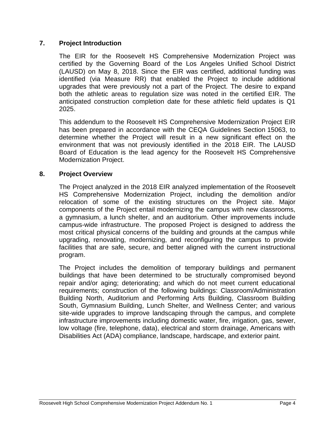#### **7. Project Introduction**

The EIR for the Roosevelt HS Comprehensive Modernization Project was certified by the Governing Board of the Los Angeles Unified School District (LAUSD) on May 8, 2018. Since the EIR was certified, additional funding was identified (via Measure RR) that enabled the Project to include additional upgrades that were previously not a part of the Project. The desire to expand both the athletic areas to regulation size was noted in the certified EIR. The anticipated construction completion date for these athletic field updates is Q1 2025.

This addendum to the Roosevelt HS Comprehensive Modernization Project EIR has been prepared in accordance with the CEQA Guidelines Section 15063, to determine whether the Project will result in a new significant effect on the environment that was not previously identified in the 2018 EIR. The LAUSD Board of Education is the lead agency for the Roosevelt HS Comprehensive Modernization Project.

#### **8. Project Overview**

The Project analyzed in the 2018 EIR analyzed implementation of the Roosevelt HS Comprehensive Modernization Project, including the demolition and/or relocation of some of the existing structures on the Project site. Major components of the Project entail modernizing the campus with new classrooms, a gymnasium, a lunch shelter, and an auditorium. Other improvements include campus-wide infrastructure. The proposed Project is designed to address the most critical physical concerns of the building and grounds at the campus while upgrading, renovating, modernizing, and reconfiguring the campus to provide facilities that are safe, secure, and better aligned with the current instructional program.

The Project includes the demolition of temporary buildings and permanent buildings that have been determined to be structurally compromised beyond repair and/or aging; deteriorating; and which do not meet current educational requirements; construction of the following buildings: Classroom/Administration Building North, Auditorium and Performing Arts Building, Classroom Building South, Gymnasium Building, Lunch Shelter, and Wellness Center; and various site-wide upgrades to improve landscaping through the campus, and complete infrastructure improvements including domestic water, fire, irrigation, gas, sewer, low voltage (fire, telephone, data), electrical and storm drainage, Americans with Disabilities Act (ADA) compliance, landscape, hardscape, and exterior paint.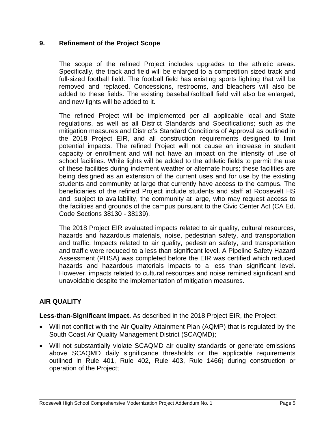### **9. Refinement of the Project Scope**

The scope of the refined Project includes upgrades to the athletic areas. Specifically, the track and field will be enlarged to a competition sized track and full-sized football field. The football field has existing sports lighting that will be removed and replaced. Concessions, restrooms, and bleachers will also be added to these fields. The existing baseball/softball field will also be enlarged, and new lights will be added to it.

The refined Project will be implemented per all applicable local and State regulations, as well as all District Standards and Specifications; such as the mitigation measures and District's Standard Conditions of Approval as outlined in the 2018 Project EIR, and all construction requirements designed to limit potential impacts. The refined Project will not cause an increase in student capacity or enrollment and will not have an impact on the intensity of use of school facilities. While lights will be added to the athletic fields to permit the use of these facilities during inclement weather or alternate hours; these facilities are being designed as an extension of the current uses and for use by the existing students and community at large that currently have access to the campus. The beneficiaries of the refined Project include students and staff at Roosevelt HS and, subject to availability, the community at large, who may request access to the facilities and grounds of the campus pursuant to the Civic Center Act (CA Ed. Code Sections 38130 - 38139).

The 2018 Project EIR evaluated impacts related to air quality, cultural resources, hazards and hazardous materials, noise, pedestrian safety, and transportation and traffic. Impacts related to air quality, pedestrian safety, and transportation and traffic were reduced to a less than significant level. A Pipeline Safety Hazard Assessment (PHSA) was completed before the EIR was certified which reduced hazards and hazardous materials impacts to a less than significant level. However, impacts related to cultural resources and noise remined significant and unavoidable despite the implementation of mitigation measures.

## **AIR QUALITY**

**Less-than-Significant Impact.** As described in the 2018 Project EIR, the Project:

- Will not conflict with the Air Quality Attainment Plan (AQMP) that is regulated by the South Coast Air Quality Management District (SCAQMD);
- Will not substantially violate SCAQMD air quality standards or generate emissions above SCAQMD daily significance thresholds or the applicable requirements outlined in Rule 401, Rule 402, Rule 403, Rule 1466) during construction or operation of the Project;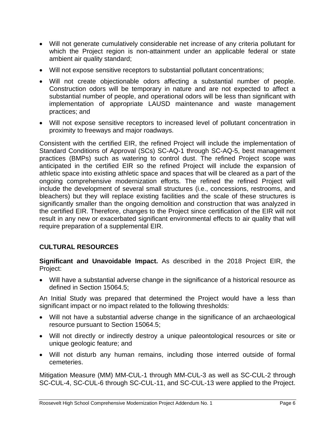- Will not generate cumulatively considerable net increase of any criteria pollutant for which the Project region is non-attainment under an applicable federal or state ambient air quality standard;
- Will not expose sensitive receptors to substantial pollutant concentrations;
- Will not create objectionable odors affecting a substantial number of people. Construction odors will be temporary in nature and are not expected to affect a substantial number of people, and operational odors will be less than significant with implementation of appropriate LAUSD maintenance and waste management practices; and
- Will not expose sensitive receptors to increased level of pollutant concentration in proximity to freeways and major roadways.

Consistent with the certified EIR, the refined Project will include the implementation of Standard Conditions of Approval (SCs) SC-AQ-1 through SC-AQ-5, best management practices (BMPs) such as watering to control dust. The refined Project scope was anticipated in the certified EIR so the refined Project will include the expansion of athletic space into existing athletic space and spaces that will be cleared as a part of the ongoing comprehensive modernization efforts. The refined the refined Project will include the development of several small structures (i.e., concessions, restrooms, and bleachers) but they will replace existing facilities and the scale of these structures is significantly smaller than the ongoing demolition and construction that was analyzed in the certified EIR. Therefore, changes to the Project since certification of the EIR will not result in any new or exacerbated significant environmental effects to air quality that will require preparation of a supplemental EIR.

# **CULTURAL RESOURCES**

**Significant and Unavoidable Impact.** As described in the 2018 Project EIR, the Project:

• Will have a substantial adverse change in the significance of a historical resource as defined in Section 15064.5;

An Initial Study was prepared that determined the Project would have a less than significant impact or no impact related to the following thresholds:

- Will not have a substantial adverse change in the significance of an archaeological resource pursuant to Section 15064.5;
- Will not directly or indirectly destroy a unique paleontological resources or site or unique geologic feature; and
- Will not disturb any human remains, including those interred outside of formal cemeteries.

Mitigation Measure (MM) MM-CUL-1 through MM-CUL-3 as well as SC-CUL-2 through SC-CUL-4, SC-CUL-6 through SC-CUL-11, and SC-CUL-13 were applied to the Project.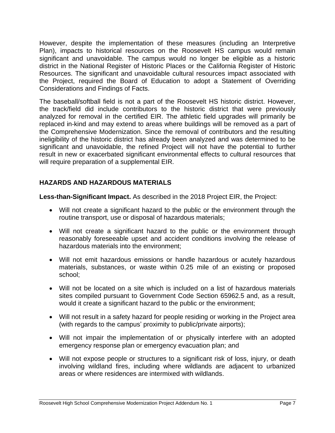However, despite the implementation of these measures (including an Interpretive Plan), impacts to historical resources on the Roosevelt HS campus would remain significant and unavoidable. The campus would no longer be eligible as a historic district in the National Register of Historic Places or the California Register of Historic Resources. The significant and unavoidable cultural resources impact associated with the Project, required the Board of Education to adopt a Statement of Overriding Considerations and Findings of Facts.

The baseball/softball field is not a part of the Roosevelt HS historic district. However, the track/field did include contributors to the historic district that were previously analyzed for removal in the certified EIR. The athletic field upgrades will primarily be replaced in-kind and may extend to areas where buildings will be removed as a part of the Comprehensive Modernization. Since the removal of contributors and the resulting ineligibility of the historic district has already been analyzed and was determined to be significant and unavoidable, the refined Project will not have the potential to further result in new or exacerbated significant environmental effects to cultural resources that will require preparation of a supplemental EIR.

# **HAZARDS AND HAZARDOUS MATERIALS**

**Less-than-Significant Impact.** As described in the 2018 Project EIR, the Project:

- Will not create a significant hazard to the public or the environment through the routine transport, use or disposal of hazardous materials;
- Will not create a significant hazard to the public or the environment through reasonably foreseeable upset and accident conditions involving the release of hazardous materials into the environment;
- Will not emit hazardous emissions or handle hazardous or acutely hazardous materials, substances, or waste within 0.25 mile of an existing or proposed school;
- Will not be located on a site which is included on a list of hazardous materials sites compiled pursuant to Government Code Section 65962.5 and, as a result, would it create a significant hazard to the public or the environment;
- Will not result in a safety hazard for people residing or working in the Project area (with regards to the campus' proximity to public/private airports);
- Will not impair the implementation of or physically interfere with an adopted emergency response plan or emergency evacuation plan; and
- Will not expose people or structures to a significant risk of loss, injury, or death involving wildland fires, including where wildlands are adjacent to urbanized areas or where residences are intermixed with wildlands.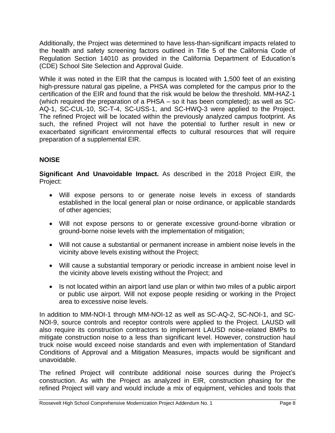Additionally, the Project was determined to have less-than-significant impacts related to the health and safety screening factors outlined in Title 5 of the California Code of Regulation Section 14010 as provided in the California Department of Education's (CDE) School Site Selection and Approval Guide.

While it was noted in the EIR that the campus is located with 1,500 feet of an existing high-pressure natural gas pipeline, a PHSA was completed for the campus prior to the certification of the EIR and found that the risk would be below the threshold. MM-HAZ-1 (which required the preparation of a PHSA – so it has been completed); as well as SC-AQ-1, SC-CUL-10, SC-T-4, SC-USS-1, and SC-HWQ-3 were applied to the Project. The refined Project will be located within the previously analyzed campus footprint. As such, the refined Project will not have the potential to further result in new or exacerbated significant environmental effects to cultural resources that will require preparation of a supplemental EIR.

# **NOISE**

**Significant And Unavoidable Impact.** As described in the 2018 Project EIR, the Project:

- Will expose persons to or generate noise levels in excess of standards established in the local general plan or noise ordinance, or applicable standards of other agencies;
- Will not expose persons to or generate excessive ground-borne vibration or ground-borne noise levels with the implementation of mitigation;
- Will not cause a substantial or permanent increase in ambient noise levels in the vicinity above levels existing without the Project;
- Will cause a substantial temporary or periodic increase in ambient noise level in the vicinity above levels existing without the Project; and
- Is not located within an airport land use plan or within two miles of a public airport or public use airport. Will not expose people residing or working in the Project area to excessive noise levels.

In addition to MM-NOI-1 through MM-NOI-12 as well as SC-AQ-2, SC-NOI-1, and SC-NOI-9, source controls and receptor controls were applied to the Project. LAUSD will also require its construction contractors to implement LAUSD noise-related BMPs to mitigate construction noise to a less than significant level. However, construction haul truck noise would exceed noise standards and even with implementation of Standard Conditions of Approval and a Mitigation Measures, impacts would be significant and unavoidable.

The refined Project will contribute additional noise sources during the Project's construction. As with the Project as analyzed in EIR, construction phasing for the refined Project will vary and would include a mix of equipment, vehicles and tools that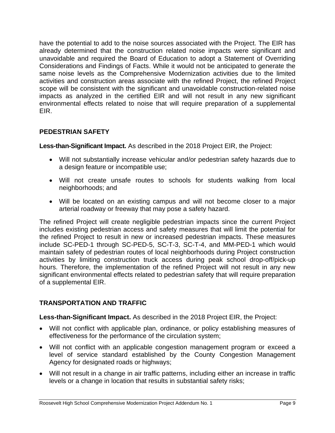have the potential to add to the noise sources associated with the Project. The EIR has already determined that the construction related noise impacts were significant and unavoidable and required the Board of Education to adopt a Statement of Overriding Considerations and Findings of Facts. While it would not be anticipated to generate the same noise levels as the Comprehensive Modernization activities due to the limited activities and construction areas associate with the refined Project, the refined Project scope will be consistent with the significant and unavoidable construction-related noise impacts as analyzed in the certified EIR and will not result in any new significant environmental effects related to noise that will require preparation of a supplemental EIR.

## **PEDESTRIAN SAFETY**

**Less-than-Significant Impact.** As described in the 2018 Project EIR, the Project:

- Will not substantially increase vehicular and/or pedestrian safety hazards due to a design feature or incompatible use;
- Will not create unsafe routes to schools for students walking from local neighborhoods; and
- Will be located on an existing campus and will not become closer to a major arterial roadway or freeway that may pose a safety hazard.

The refined Project will create negligible pedestrian impacts since the current Project includes existing pedestrian access and safety measures that will limit the potential for the refined Project to result in new or increased pedestrian impacts. These measures include SC-PED-1 through SC-PED-5, SC-T-3, SC-T-4, and MM-PED-1 which would maintain safety of pedestrian routes of local neighborhoods during Project construction activities by limiting construction truck access during peak school drop-off/pick-up hours. Therefore, the implementation of the refined Project will not result in any new significant environmental effects related to pedestrian safety that will require preparation of a supplemental EIR.

# **TRANSPORTATION AND TRAFFIC**

**Less-than-Significant Impact.** As described in the 2018 Project EIR, the Project:

- Will not conflict with applicable plan, ordinance, or policy establishing measures of effectiveness for the performance of the circulation system;
- Will not conflict with an applicable congestion management program or exceed a level of service standard established by the County Congestion Management Agency for designated roads or highways;
- Will not result in a change in air traffic patterns, including either an increase in traffic levels or a change in location that results in substantial safety risks;